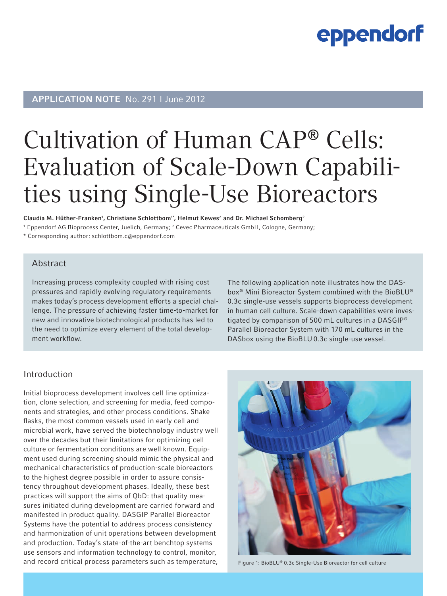### **APPLICATION NOTE** No. 291 | June 2012

# Cultivation of Human CAP® Cells: Evaluation of Scale-Down Capabilities using Single-Use Bioreactors

Claudia M. Hüther-Franken<sup>1</sup>, Christiane Schlottbom<sup>1+</sup>, Helmut Kewes<sup>2</sup> and Dr. Michael Schomberg<sup>2</sup>

1 Eppendorf AG Bioprocess Center, Juelich, Germany; 2 Cevec Pharmaceuticals GmbH, Cologne, Germany;

\* Corresponding author: schlottbom.c@eppendorf.com

### Abstract

Increasing process complexity coupled with rising cost pressures and rapidly evolving regulatory requirements makes today's process development efforts a special challenge. The pressure of achieving faster time-to-market for new and innovative biotechnological products has led to the need to optimize every element of the total development workflow.

The following application note illustrates how the DASbox® Mini Bioreactor System combined with the BioBLU® 0.3c single-use vessels supports bioprocess development in human cell culture. Scale-down capabilities were investigated by comparison of 500 mL cultures in a DASGIP® Parallel Bioreactor System with 170 mL cultures in the DASbox using the BioBLU 0.3c single-use vessel.

### Introduction

Initial bioprocess development involves cell line optimization, clone selection, and screening for media, feed components and strategies, and other process conditions. Shake flasks, the most common vessels used in early cell and microbial work, have served the biotechnology industry well over the decades but their limitations for optimizing cell culture or fermentation conditions are well known. Equipment used during screening should mimic the physical and mechanical characteristics of production-scale bioreactors to the highest degree possible in order to assure consistency throughout development phases. Ideally, these best practices will support the aims of QbD: that quality measures initiated during development are carried forward and manifested in product quality. DASGIP Parallel Bioreactor Systems have the potential to address process consistency and harmonization of unit operations between development and production. Today's state-of-the-art benchtop systems use sensors and information technology to control, monitor, and record critical process parameters such as temperature, Figure 1: BioBLU® 0.3c Single-Use Bioreactor for cell culture

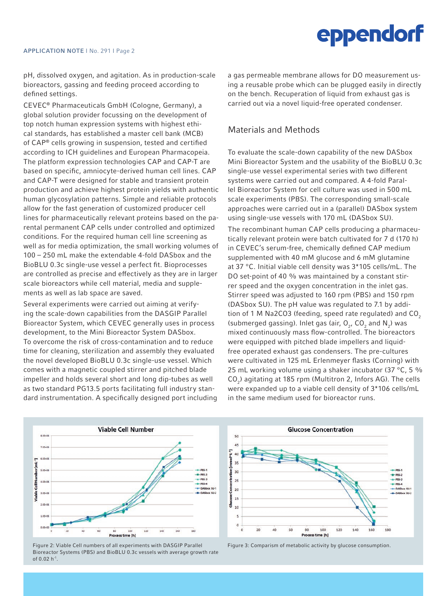pH, dissolved oxygen, and agitation. As in production-scale bioreactors, gassing and feeding proceed according to defined settings.

CEVEC® Pharmaceuticals GmbH (Cologne, Germany), a global solution provider focussing on the development of top notch human expression systems with highest ethical standards, has established a master cell bank (MCB) of CAP® cells growing in suspension, tested and certified according to ICH guidelines and European Pharmacopeia. The platform expression technologies CAP and CAP-T are based on specific, amniocyte-derived human cell lines. CAP and CAP-T were designed for stable and transient protein production and achieve highest protein yields with authentic human glycosylation patterns. Simple and reliable protocols allow for the fast generation of customized producer cell lines for pharmaceutically relevant proteins based on the parental permanent CAP cells under controlled and optimized conditions. For the required human cell line screening as well as for media optimization, the small working volumes of 100 – 250 mL make the extendable 4-fold DASbox and the BioBLU 0.3c single-use vessel a perfect fit. Bioprocesses are controlled as precise and effectively as they are in larger scale bioreactors while cell material, media and supplements as well as lab space are saved.

Several experiments were carried out aiming at verifying the scale-down capabilities from the DASGIP Parallel Bioreactor System, which CEVEC generally uses in process development, to the Mini Bioreactor System DASbox. To overcome the risk of cross-contamination and to reduce time for cleaning, sterilization and assembly they evaluated the novel developed BioBLU 0.3c single-use vessel. Which comes with a magnetic coupled stirrer and pitched blade impeller and holds several short and long dip-tubes as well as two standard PG13.5 ports facilitating full industry standard instrumentation. A specifically designed port including

**Viable Cell Number** 8.05+01  $7.06<sub>0</sub>$ 6.05+0 Viable Cell Number [ml-1]  $5.0660$ pas. **B**-POS-2 -PBS-4.0540  $-$  PBS-4  $3.06 + 0$  $2.06 +$ 1.0EK Process time [h]

Figure 2: Viable Cell numbers of all experiments with DASGIP Parallel Bioreactor Systems (PBS) and BioBLU 0.3c vessels with average growth rate of 0.02 h-1.

a gas permeable membrane allows for DO measurement using a reusable probe which can be plugged easily in directly on the bench. Recuperation of liquid from exhaust gas is carried out via a novel liquid-free operated condenser.

#### Materials and Methods

To evaluate the scale-down capability of the new DASbox Mini Bioreactor System and the usability of the BioBLU 0.3c single-use vessel experimental series with two different systems were carried out and compared. A 4-fold Parallel Bioreactor System for cell culture was used in 500 mL scale experiments (PBS). The corresponding small-scale approaches were carried out in a (parallel) DASbox system using single-use vessels with 170 mL (DASbox SU).

The recombinant human CAP cells producing a pharmaceutically relevant protein were batch cultivated for 7 d (170 h) in CEVEC's serum-free, chemically defined CAP medium supplemented with 40 mM glucose and 6 mM glutamine at 37 °C. Initial viable cell density was 3\*105 cells/mL. The DO set-point of 40 % was maintained by a constant stirrer speed and the oxygen concentration in the inlet gas. Stirrer speed was adjusted to 160 rpm (PBS) and 150 rpm (DASbox SU). The pH value was regulated to 7.1 by addition of 1 M Na2CO3 (feeding, speed rate regulated) and  $CO<sub>2</sub>$ (submerged gassing). Inlet gas (air,  $O_{2}$ , CO<sub>2</sub> and N<sub>2</sub>) was mixed continuously mass flow-controlled. The bioreactors were equipped with pitched blade impellers and liquidfree operated exhaust gas condensers. The pre-cultures were cultivated in 125 mL Erlenmeyer flasks (Corning) with 25 mL working volume using a shaker incubator (37 °C, 5 % CO<sub>2</sub>) agitating at 185 rpm (Multitron 2, Infors AG). The cells were expanded up to a viable cell density of 3\*106 cells/mL in the same medium used for bioreactor runs.



Figure 3: Comparism of metabolic activity by glucose consumption.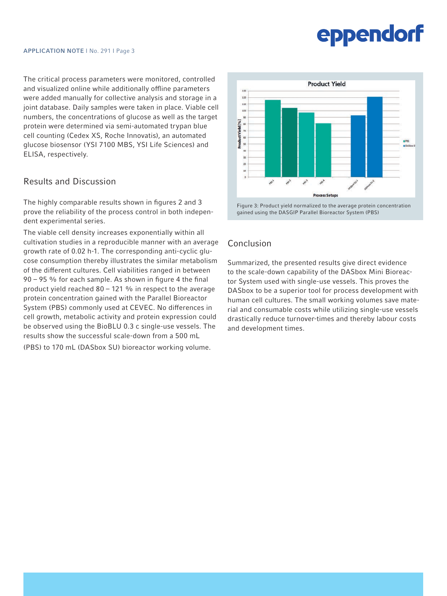The critical process parameters were monitored, controlled and visualized online while additionally offline parameters were added manually for collective analysis and storage in a joint database. Daily samples were taken in place. Viable cell numbers, the concentrations of glucose as well as the target protein were determined via semi-automated trypan blue cell counting (Cedex XS, Roche Innovatis), an automated glucose biosensor (YSI 7100 MBS, YSI Life Sciences) and ELISA, respectively.

### Results and Discussion

The highly comparable results shown in figures 2 and 3 prove the reliability of the process control in both independent experimental series.

The viable cell density increases exponentially within all cultivation studies in a reproducible manner with an average growth rate of 0.02 h-1. The corresponding anti-cyclic glucose consumption thereby illustrates the similar metabolism of the different cultures. Cell viabilities ranged in between 90 – 95 % for each sample. As shown in figure 4 the final product yield reached 80 – 121 % in respect to the average protein concentration gained with the Parallel Bioreactor System (PBS) commonly used at CEVEC. No differences in cell growth, metabolic activity and protein expression could be observed using the BioBLU 0.3 c single-use vessels. The results show the successful scale-down from a 500 mL (PBS) to 170 mL (DASbox SU) bioreactor working volume.



Figure 3: Product yield normalized to the average protein concentration gained using the DASGIP Parallel Bioreactor System (PBS)

### Conclusion

Summarized, the presented results give direct evidence to the scale-down capability of the DASbox Mini Bioreactor System used with single-use vessels. This proves the DASbox to be a superior tool for process development with human cell cultures. The small working volumes save material and consumable costs while utilizing single-use vessels drastically reduce turnover-times and thereby labour costs and development times.